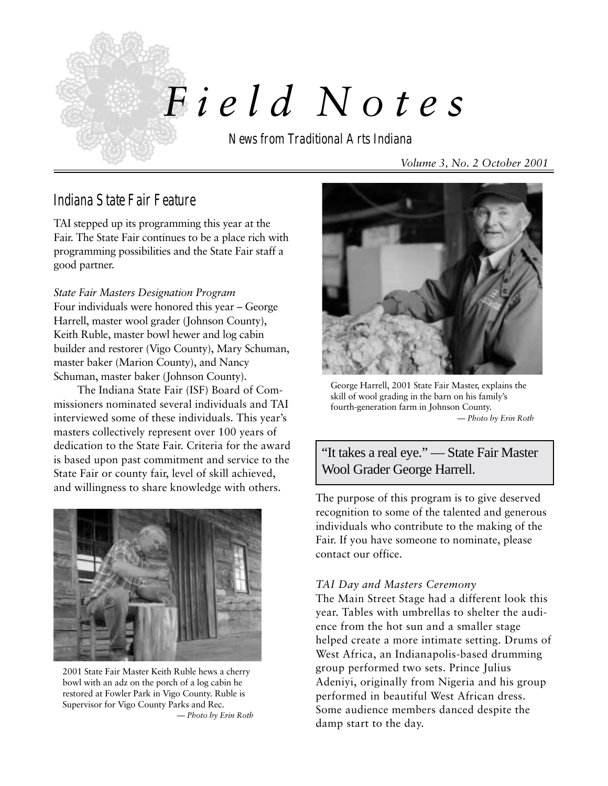

# *F i e l d Notes*

News from Traditional Arts Indiana

*Volume 3, No. 2 October 2001*

## Indiana State Fair Feature

TAI stepped up its programming this year at the Fair. The State Fair continues to be a place rich with programming possibilities and the State Fair staff a good partner.

*State Fair Masters Designation Program* Four individuals were honored this year – George Harrell, master wool grader (Johnson County), Keith Ruble, master bowl hewer and log cabin builder and restorer (Vigo County), Mary Schuman, master baker (Marion County), and Nancy Schuman, master baker (Johnson County).

The Indiana State Fair (ISF) Board of Commissioners nominated several individuals and TAI interviewed some of these individuals. This year's masters collectively represent over 100 years of dedication to the State Fair. Criteria for the award is based upon past commitment and service to the State Fair or county fair, level of skill achieved, and willingness to share knowledge with others.



2001 State Fair Master Keith Ruble hews a cherry bowl with an adz on the porch of a log cabin he restored at Fowler Park in Vigo County. Ruble is Supervisor for Vigo County Parks and Rec.

*— Photo by Erin Roth*



George Harrell, 2001 State Fair Master, explains the skill of wool grading in the barn on his family's fourth-generation farm in Johnson County. *— Photo by Erin Roth*

"It takes a real eye." — State Fair Master Wool Grader George Harrell.

The purpose of this program is to give deserved recognition to some of the talented and generous individuals who contribute to the making of the Fair. If you have someone to nominate, please contact our office.

#### *TAI Day and Masters Ceremony*

The Main Street Stage had a different look this year. Tables with umbrellas to shelter the audience from the hot sun and a smaller stage helped create a more intimate setting. Drums of West Africa, an Indianapolis-based drumming group performed two sets. Prince Julius Adeniyi, originally from Nigeria and his group performed in beautiful West African dress. Some audience members danced despite the damp start to the day.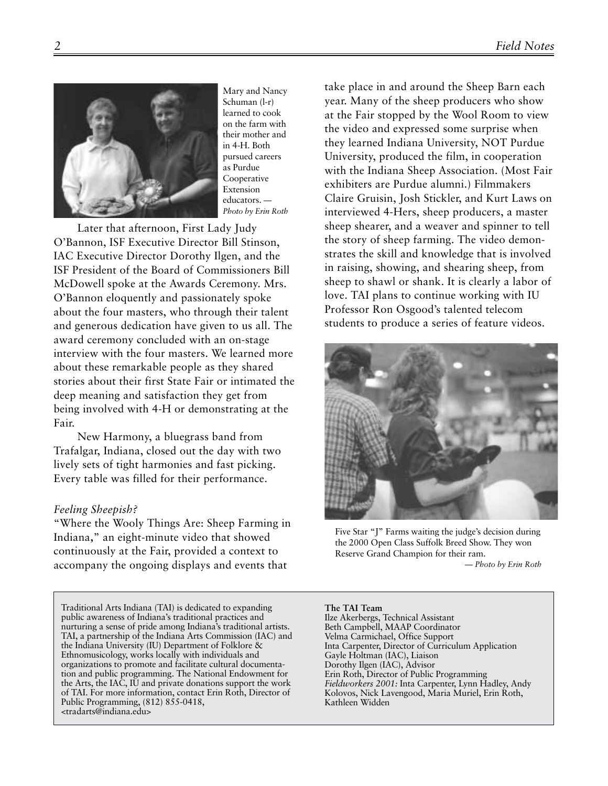

Mary and Nancy Schuman (l-r) learned to cook on the farm with their mother and in 4-H. Both pursued careers as Purdue Cooperative Extension educators. *— Photo by Erin Roth*

Later that afternoon, First Lady Judy O'Bannon, ISF Executive Director Bill Stinson, IAC Executive Director Dorothy Ilgen, and the ISF President of the Board of Commissioners Bill McDowell spoke at the Awards Ceremony. Mrs. O'Bannon eloquently and passionately spoke about the four masters, who through their talent and generous dedication have given to us all. The award ceremony concluded with an on-stage interview with the four masters. We learned more about these remarkable people as they shared stories about their first State Fair or intimated the deep meaning and satisfaction they get from being involved with 4-H or demonstrating at the Fair.

New Harmony, a bluegrass band from Trafalgar, Indiana, closed out the day with two lively sets of tight harmonies and fast picking. Every table was filled for their performance.

#### *Feeling Sheepish?*

"Where the Wooly Things Are: Sheep Farming in Indiana**,**" an eight-minute video that showed continuously at the Fair, provided a context to accompany the ongoing displays and events that

Traditional Arts Indiana (TAI) is dedicated to expanding public awareness of Indiana's traditional practices and nurturing a sense of pride among Indiana's traditional artists. TAI, a partnership of the Indiana Arts Commission (IAC) and the Indiana University (IU) Department of Folklore & Ethnomusicology, works locally with individuals and organizations to promote and facilitate cultural documentation and public programming. The National Endowment for the Arts, the IAC, IU and private donations support the work of TAI. For more information, contact Erin Roth, Director of Public Programming, (812) 855-0418, <tradarts@indiana.edu>

take place in and around the Sheep Barn each year. Many of the sheep producers who show at the Fair stopped by the Wool Room to view the video and expressed some surprise when they learned Indiana University, NOT Purdue University, produced the film, in cooperation with the Indiana Sheep Association. (Most Fair exhibiters are Purdue alumni.) Filmmakers Claire Gruisin, Josh Stickler, and Kurt Laws on interviewed 4-Hers, sheep producers, a master sheep shearer, and a weaver and spinner to tell the story of sheep farming. The video demonstrates the skill and knowledge that is involved in raising, showing, and shearing sheep, from sheep to shawl or shank. It is clearly a labor of love. TAI plans to continue working with IU Professor Ron Osgood's talented telecom students to produce a series of feature videos.



Five Star "J" Farms waiting the judge's decision during the 2000 Open Class Suffolk Breed Show. They won Reserve Grand Champion for their ram.

*— Photo by Erin Roth*

**The TAI Team** Ilze Akerbergs, Technical Assistant Beth Campbell, MAAP Coordinator Velma Carmichael, Office Support Inta Carpenter, Director of Curriculum Application Gayle Holtman (IAC), Liaison Dorothy Ilgen (IAC), Advisor Erin Roth, Director of Public Programming *Fieldworkers 2001:* Inta Carpenter, Lynn Hadley, Andy Kolovos, Nick Lavengood, Maria Muriel, Erin Roth, Kathleen Widden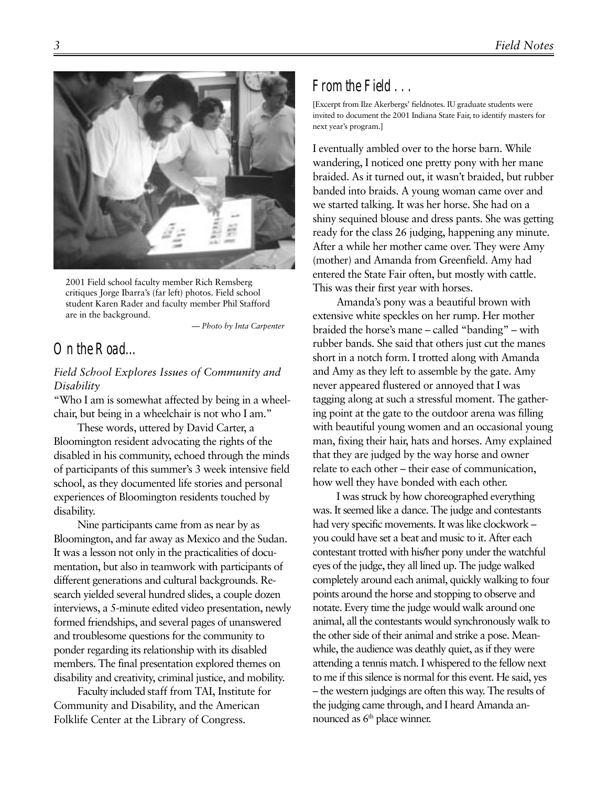

2001 Field school faculty member Rich Remsberg critiques Jorge Ibarra's (far left) photos. Field school student Karen Rader and faculty member Phil Stafford are in the background.

*— Photo by Inta Carpenter*

## On the Road…

#### *Field School Explores Issues of Community and Disability*

"Who I am is somewhat affected by being in a wheelchair, but being in a wheelchair is not who I am."

These words, uttered by David Carter, a Bloomington resident advocating the rights of the disabled in his community, echoed through the minds of participants of this summer's 3 week intensive field school, as they documented life stories and personal experiences of Bloomington residents touched by disability.

Nine participants came from as near by as Bloomington, and far away as Mexico and the Sudan. It was a lesson not only in the practicalities of documentation, but also in teamwork with participants of different generations and cultural backgrounds. Research yielded several hundred slides, a couple dozen interviews, a 5-minute edited video presentation, newly formed friendships, and several pages of unanswered and troublesome questions for the community to ponder regarding its relationship with its disabled members. The final presentation explored themes on disability and creativity, criminal justice, and mobility.

Faculty included staff from TAI, Institute for Community and Disability, and the American Folklife Center at the Library of Congress.

### From the Field . . .

[Excerpt from Ilze Akerbergs' fieldnotes. IU graduate students were invited to document the 2001 Indiana State Fair, to identify masters for next year's program.]

I eventually ambled over to the horse barn. While wandering, I noticed one pretty pony with her mane braided. As it turned out, it wasn't braided, but rubber banded into braids. A young woman came over and we started talking. It was her horse. She had on a shiny sequined blouse and dress pants. She was getting ready for the class 26 judging, happening any minute. After a while her mother came over. They were Amy (mother) and Amanda from Greenfield. Amy had entered the State Fair often, but mostly with cattle. This was their first year with horses.

Amanda's pony was a beautiful brown with extensive white speckles on her rump. Her mother braided the horse's mane – called "banding" – with rubber bands. She said that others just cut the manes short in a notch form. I trotted along with Amanda and Amy as they left to assemble by the gate. Amy never appeared flustered or annoyed that I was tagging along at such a stressful moment. The gathering point at the gate to the outdoor arena was filling with beautiful young women and an occasional young man, fixing their hair, hats and horses. Amy explained that they are judged by the way horse and owner relate to each other – their ease of communication, how well they have bonded with each other.

I was struck by how choreographed everything was. It seemed like a dance. The judge and contestants had very specific movements. It was like clockwork – you could have set a beat and music to it. After each contestant trotted with his/her pony under the watchful eyes of the judge, they all lined up. The judge walked completely around each animal, quickly walking to four points around the horse and stopping to observe and notate. Every time the judge would walk around one animal, all the contestants would synchronously walk to the other side of their animal and strike a pose. Meanwhile, the audience was deathly quiet, as if they were attending a tennis match. I whispered to the fellow next to me if this silence is normal for this event. He said, yes – the western judgings are often this way. The results of the judging came through, and I heard Amanda announced as  $6<sup>th</sup>$  place winner.